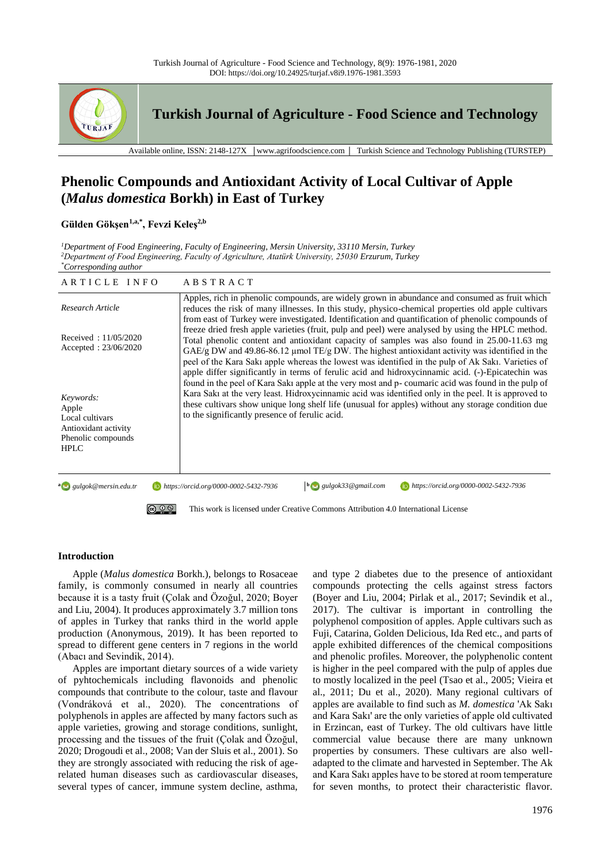

**Turkish Journal of Agriculture - Food Science and Technology**

Available online, ISSN: 2148-127X │www.agrifoodscience.com │ Turkish Science and Technology Publishing (TURSTEP)

# **Phenolic Compounds and Antioxidant Activity of Local Cultivar of Apple (***Malus domestica* **Borkh) in East of Turkey**

# **Gülden Gökşen1,a,\* , Fevzi Keleş2,b**

*<sup>1</sup>Department of Food Engineering, Faculty of Engineering, Mersin University, 33110 Mersin, Turkey <sup>2</sup>Department of Food Engineering, Faculty of Agriculture, Atatürk University, 25030 Erzurum, Turkey \*Corresponding author*

| ARTICLE INFO                                                                                       | ABSTRACT                                                                                                                                                                                                                                                                                                                                                                                                                                                                 |  |  |  |  |
|----------------------------------------------------------------------------------------------------|--------------------------------------------------------------------------------------------------------------------------------------------------------------------------------------------------------------------------------------------------------------------------------------------------------------------------------------------------------------------------------------------------------------------------------------------------------------------------|--|--|--|--|
| Research Article                                                                                   | Apples, rich in phenolic compounds, are widely grown in abundance and consumed as fruit which<br>reduces the risk of many illnesses. In this study, physico-chemical properties old apple cultivars<br>from east of Turkey were investigated. Identification and quantification of phenolic compounds of                                                                                                                                                                 |  |  |  |  |
| Received: $11/05/2020$<br>Accepted: $23/06/2020$                                                   | freeze dried fresh apple varieties (fruit, pulp and peel) were analysed by using the HPLC method.<br>Total phenolic content and antioxidant capacity of samples was also found in 25.00-11.63 mg<br>GAE/g DW and 49.86-86.12 µmol TE/g DW. The highest antioxidant activity was identified in the<br>peel of the Kara Saki apple whereas the lowest was identified in the pulp of Ak Saki. Varieties of                                                                  |  |  |  |  |
| Keywords:<br>Apple<br>Local cultivars<br>Antioxidant activity<br>Phenolic compounds<br><b>HPLC</b> | apple differ significantly in terms of ferulic acid and hidroxycinnamic acid. (-)-Epicatechin was<br>found in the peel of Kara Saki apple at the very most and p- coumaric acid was found in the pulp of<br>Kara Saki at the very least. Hidroxycinnamic acid was identified only in the peel. It is approved to<br>these cultivars show unique long shelf life (unusual for apples) without any storage condition due<br>to the significantly presence of ferulic acid. |  |  |  |  |
| $a \rightarrow gulgok@mersin.edu.tr$                                                               | gulgok33@gmail.com<br>https://orcid.org/0000-0002-5432-7936<br>https://orcid.org/0000-0002-5432-7936                                                                                                                                                                                                                                                                                                                                                                     |  |  |  |  |
|                                                                                                    | This work is licensed under Creative Commons Attribution 4.0 International License                                                                                                                                                                                                                                                                                                                                                                                       |  |  |  |  |

# **Introduction**

Apple (*Malus domestica* Borkh.), belongs to Rosaceae family, is commonly consumed in nearly all countries because it is a tasty fruit (Çolak and Özoğul, 2020; Boyer and Liu, 2004). It produces approximately 3.7 million tons of apples in Turkey that ranks third in the world apple production (Anonymous, 2019). It has been reported to spread to different gene centers in 7 regions in the world (Abacı and Sevindik, 2014).

Apples are important dietary sources of a wide variety of pyhtochemicals including flavonoids and phenolic compounds that contribute to the colour, taste and flavour (Vondráková et al., 2020). The concentrations of polyphenols in apples are affected by many factors such as apple varieties, growing and storage conditions, sunlight, processing and the tissues of the fruit (Çolak and Özoğul, 2020; Drogoudi et al., 2008; Van der Sluis et al., 2001). So they are strongly associated with reducing the risk of agerelated human diseases such as cardiovascular diseases, several types of cancer, immune system decline, asthma, and type 2 diabetes due to the presence of antioxidant compounds protecting the cells against stress factors (Boyer and Liu, 2004; Pirlak et al., 2017; Sevindik et al., 2017). The cultivar is important in controlling the polyphenol composition of apples. Apple cultivars such as Fuji, Catarina, Golden Delicious, Ida Red etc., and parts of apple exhibited differences of the chemical compositions and phenolic profiles. Moreover, the polyphenolic content is higher in the peel compared with the pulp of apples due to mostly localized in the peel (Tsao et al., 2005; Vieira et al., 2011; Du et al., 2020). Many regional cultivars of apples are available to find such as *M. domestica* 'Ak Sakı and Kara Sakı' are the only varieties of apple old cultivated in Erzincan, east of Turkey. The old cultivars have little commercial value because there are many unknown properties by consumers. These cultivars are also welladapted to the climate and harvested in September. The Ak and Kara Sakı apples have to be stored at room temperature for seven months, to protect their characteristic flavor.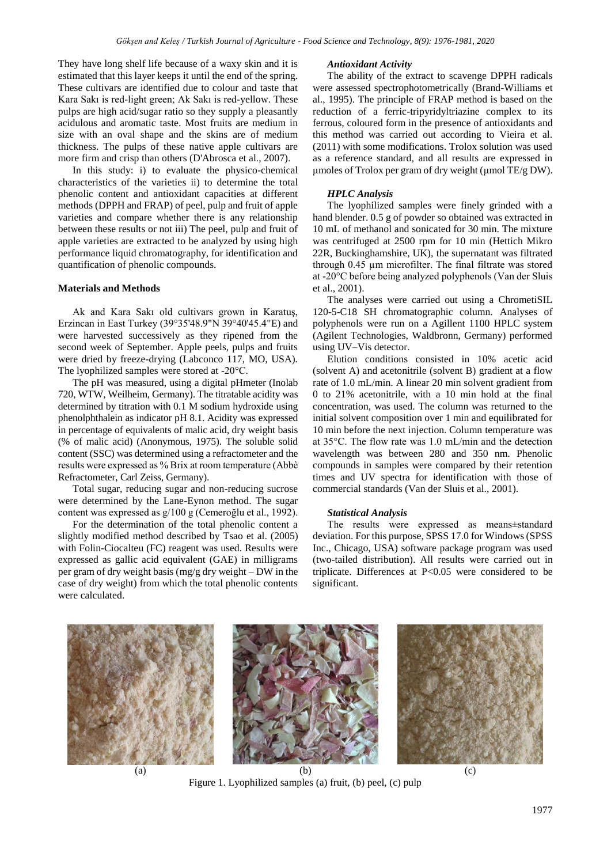They have long shelf life because of a waxy skin and it is estimated that this layer keeps it until the end of the spring. These cultivars are identified due to colour and taste that Kara Sakı is red-light green; Ak Sakı is red-yellow. These pulps are high acid/sugar ratio so they supply a pleasantly acidulous and aromatic taste. Most fruits are medium in size with an oval shape and the skins are of medium thickness. The pulps of these native apple cultivars are more firm and crisp than others (D'Abrosca et al., 2007).

In this study: i) to evaluate the physico-chemical characteristics of the varieties ii) to determine the total phenolic content and antioxidant capacities at different methods (DPPH and FRAP) of peel, pulp and fruit of apple varieties and compare whether there is any relationship between these results or not iii) The peel, pulp and fruit of apple varieties are extracted to be analyzed by using high performance liquid chromatography, for identification and quantification of phenolic compounds.

# **Materials and Methods**

Ak and Kara Sakı old cultivars grown in Karatuş, Erzincan in East Turkey (39°35'48.9"N 39°40'45.4"E) and were harvested successively as they ripened from the second week of September. Apple peels, pulps and fruits were dried by freeze-drying (Labconco 117, MO, USA). The lyophilized samples were stored at -20°C.

The pH was measured, using a digital pHmeter (Inolab 720, WTW, Weilheim, Germany). The titratable acidity was determined by titration with 0.1 M sodium hydroxide using phenolphthalein as indicator pH 8.1. Acidity was expressed in percentage of equivalents of malic acid, dry weight basis (% of malic acid) (Anonymous, 1975). The soluble solid content (SSC) was determined using a refractometer and the results were expressed as % Brix at room temperature (Abbè Refractometer, Carl Zeiss, Germany).

Total sugar, reducing sugar and non-reducing sucrose were determined by the Lane-Eynon method. The sugar content was expressed as g/100 g (Cemeroğlu et al., 1992).

For the determination of the total phenolic content a slightly modified method described by Tsao et al. (2005) with Folin-Ciocalteu (FC) reagent was used. Results were expressed as gallic acid equivalent (GAE) in milligrams per gram of dry weight basis (mg/g dry weight – DW in the case of dry weight) from which the total phenolic contents were calculated.

## *Antioxidant Activity*

The ability of the extract to scavenge DPPH radicals were assessed spectrophotometrically (Brand-Williams et al., 1995). The principle of FRAP method is based on the reduction of a ferric-tripyridyltriazine complex to its ferrous, coloured form in the presence of antioxidants and this method was carried out according to Vieira et al. (2011) with some modifications. Trolox solution was used as a reference standard, and all results are expressed in μmoles of Trolox per gram of dry weight (μmol TE/g DW).

# *HPLC Analysis*

The lyophilized samples were finely grinded with a hand blender. 0.5 g of powder so obtained was extracted in 10 mL of methanol and sonicated for 30 min. The mixture was centrifuged at 2500 rpm for 10 min (Hettich Mikro 22R, Buckinghamshire, UK), the supernatant was filtrated through 0.45 µm microfilter. The final filtrate was stored at -20°C before being analyzed polyphenols (Van der Sluis et al., 2001).

The analyses were carried out using a ChrometiSIL 120-5-C18 SH chromatographic column. Analyses of polyphenols were run on a Agillent 1100 HPLC system (Agilent Technologies, Waldbronn, Germany) performed using UV–Vis detector.

Elution conditions consisted in 10% acetic acid (solvent A) and acetonitrile (solvent B) gradient at a flow rate of 1.0 mL/min. A linear 20 min solvent gradient from 0 to 21% acetonitrile, with a 10 min hold at the final concentration, was used. The column was returned to the initial solvent composition over 1 min and equilibrated for 10 min before the next injection. Column temperature was at 35°C. The flow rate was 1.0 mL/min and the detection wavelength was between 280 and 350 nm. Phenolic compounds in samples were compared by their retention times and UV spectra for identification with those of commercial standards (Van der Sluis et al., 2001).

## *Statistical Analysis*

The results were expressed as means±standard deviation. For this purpose, SPSS 17.0 for Windows (SPSS Inc., Chicago, USA) software package program was used (two-tailed distribution). All results were carried out in triplicate. Differences at P<0.05 were considered to be significant.







Figure 1. Lyophilized samples (a) fruit, (b) peel, (c) pulp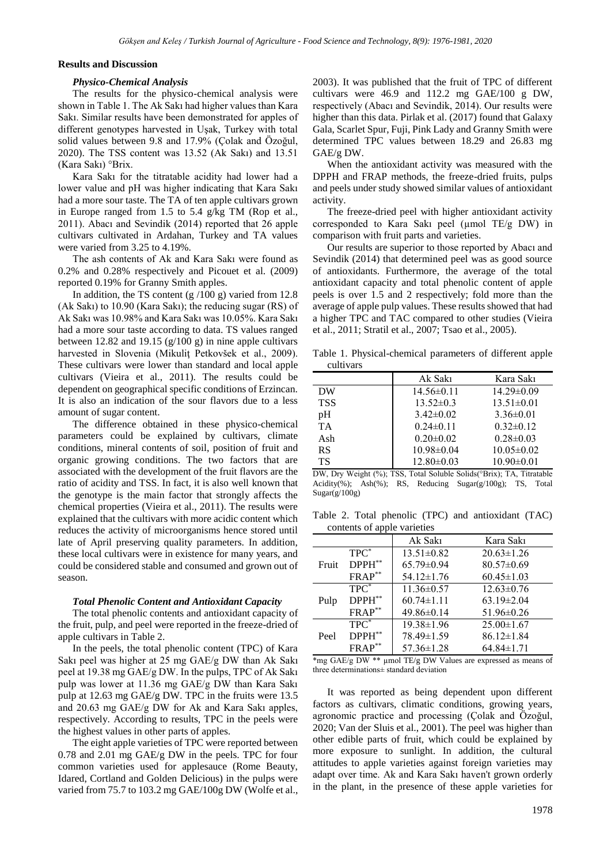#### **Results and Discussion**

#### *Physico-Chemical Analysis*

The results for the physico-chemical analysis were shown in Table 1. The Ak Sakı had higher values than Kara Sakı. Similar results have been demonstrated for apples of different genotypes harvested in Uşak, Turkey with total solid values between 9.8 and 17.9% (Çolak and Özoğul, 2020). The TSS content was 13.52 (Ak Sakı) and 13.51 (Kara Sakı) °Brix.

Kara Sakı for the titratable acidity had lower had a lower value and pH was higher indicating that Kara Sakı had a more sour taste. The TA of ten apple cultivars grown in Europe ranged from 1.5 to 5.4 g/kg TM (Rop et al., 2011). Abacı and Sevindik (2014) reported that 26 apple cultivars cultivated in Ardahan, Turkey and TA values were varied from 3.25 to 4.19%.

The ash contents of Ak and Kara Sakı were found as 0.2% and 0.28% respectively and Picouet et al. (2009) reported 0.19% for Granny Smith apples.

In addition, the TS content  $(g/100 g)$  varied from 12.8 (Ak Sakı) to 10.90 (Kara Sakı); the reducing sugar (RS) of Ak Sakı was 10.98% and Kara Sakı was 10.05%. Kara Sakı had a more sour taste according to data. TS values ranged between 12.82 and 19.15 (g/100 g) in nine apple cultivars harvested in Slovenia (Mikuliţ Petkovšek et al., 2009). These cultivars were lower than standard and local apple cultivars (Vieira et al., 2011). The results could be dependent on geographical specific conditions of Erzincan. It is also an indication of the sour flavors due to a less amount of sugar content.

The difference obtained in these physico-chemical parameters could be explained by cultivars, climate conditions, mineral contents of soil, position of fruit and organic growing conditions. The two factors that are associated with the development of the fruit flavors are the ratio of acidity and TSS. In fact, it is also well known that the genotype is the main factor that strongly affects the chemical properties (Vieira et al., 2011). The results were explained that the cultivars with more acidic content which reduces the activity of microorganisms hence stored until late of April preserving quality parameters. In addition, these local cultivars were in existence for many years, and could be considered stable and consumed and grown out of season.

#### *Total Phenolic Content and Antioxidant Capacity*

The total phenolic contents and antioxidant capacity of the fruit, pulp, and peel were reported in the freeze-dried of apple cultivars in Table 2.

In the peels, the total phenolic content (TPC) of Kara Sakı peel was higher at 25 mg GAE/g DW than Ak Sakı peel at 19.38 mg GAE/g DW. In the pulps, TPC of Ak Sakı pulp was lower at 11.36 mg GAE/g DW than Kara Sakı pulp at 12.63 mg GAE/g DW. TPC in the fruits were 13.5 and 20.63 mg GAE/g DW for Ak and Kara Sakı apples, respectively. According to results, TPC in the peels were the highest values in other parts of apples.

The eight apple varieties of TPC were reported between 0.78 and 2.01 mg GAE/g DW in the peels. TPC for four common varieties used for applesauce (Rome Beauty, Idared, Cortland and Golden Delicious) in the pulps were varied from 75.7 to 103.2 mg GAE/100g DW (Wolfe et al., 2003). It was published that the fruit of TPC of different cultivars were 46.9 and 112.2 mg GAE/100 g DW, respectively (Abacı and Sevindik, 2014). Our results were higher than this data. Pirlak et al. (2017) found that Galaxy Gala, Scarlet Spur, Fuji, Pink Lady and Granny Smith were determined TPC values between 18.29 and 26.83 mg GAE/g DW.

When the antioxidant activity was measured with the DPPH and FRAP methods, the freeze-dried fruits, pulps and peels under study showed similar values of antioxidant activity.

The freeze-dried peel with higher antioxidant activity corresponded to Kara Sakı peel ( $\mu$ mol TE/g DW) in comparison with fruit parts and varieties.

Our results are superior to those reported by Abacı and Sevindik (2014) that determined peel was as good source of antioxidants. Furthermore, the average of the total antioxidant capacity and total phenolic content of apple peels is over 1.5 and 2 respectively; fold more than the average of apple pulp values. These results showed that had a higher TPC and TAC compared to other studies (Vieira et al., 2011; Stratil et al., 2007; Tsao et al., 2005).

Table 1. Physical-chemical parameters of different apple cultivars

|            | Ak Saki          | Kara Sakı        |
|------------|------------------|------------------|
| DW         | $14.56\pm0.11$   | $14.29 \pm 0.09$ |
| <b>TSS</b> | $13.52 \pm 0.3$  | $13.51 \pm 0.01$ |
| pH         | $3.42\pm0.02$    | $3.36\pm0.01$    |
| <b>TA</b>  | $0.24 \pm 0.11$  | $0.32\pm0.12$    |
| Ash        | $0.20 \pm 0.02$  | $0.28 \pm 0.03$  |
| <b>RS</b>  | $10.98 \pm 0.04$ | $10.05 \pm 0.02$ |
| TS         | $12.80 \pm 0.03$ | $10.90\pm0.01$   |

DW, Dry Weight (%); TSS, Total Soluble Solids(°Brix); TA, Titratable Acidity(%); Ash(%); RS, Reducing Sugar(g/100g); TS, Total  $Sugar(g/100g)$ 

Table 2. Total phenolic (TPC) and antioxidant (TAC) contents of apple varieties

| $\frac{1}{2}$ |             |                  |                  |  |
|---------------|-------------|------------------|------------------|--|
|               |             | Ak Sakı          | Kara Sakı        |  |
|               | $TPC^*$     | $13.51 \pm 0.82$ | $20.63 \pm 1.26$ |  |
| Fruit         | DPPH**      | $65.79 \pm 0.94$ | $80.57 \pm 0.69$ |  |
|               | FRAP**      | $54.12 \pm 1.76$ | $60.45 \pm 1.03$ |  |
|               | $TPC^*$     | $11.36 \pm 0.57$ | $12.63 \pm 0.76$ |  |
| Pulp          | $DPPH^{**}$ | $60.74 \pm 1.11$ | $63.19 \pm 2.04$ |  |
|               | FRAP**      | $49.86 \pm 0.14$ | $51.96 \pm 0.26$ |  |
|               | $TPC^*$     | $19.38 \pm 1.96$ | $25.00 \pm 1.67$ |  |
| Peel          | DPPH**      | 78.49±1.59       | $86.12 \pm 1.84$ |  |
|               | $FRAP^{**}$ | $57.36 \pm 1.28$ | $64.84\pm1.71$   |  |

\*mg GAE/g DW \*\* µmol TE/g DW Values are expressed as means of three determinations± standard deviation

It was reported as being dependent upon different factors as cultivars, climatic conditions, growing years, agronomic practice and processing (Çolak and Özoğul, 2020; Van der Sluis et al., 2001). The peel was higher than other edible parts of fruit, which could be explained by more exposure to sunlight. In addition, the cultural attitudes to apple varieties against foreign varieties may adapt over time. Ak and Kara Sakı haven't grown orderly in the plant, in the presence of these apple varieties for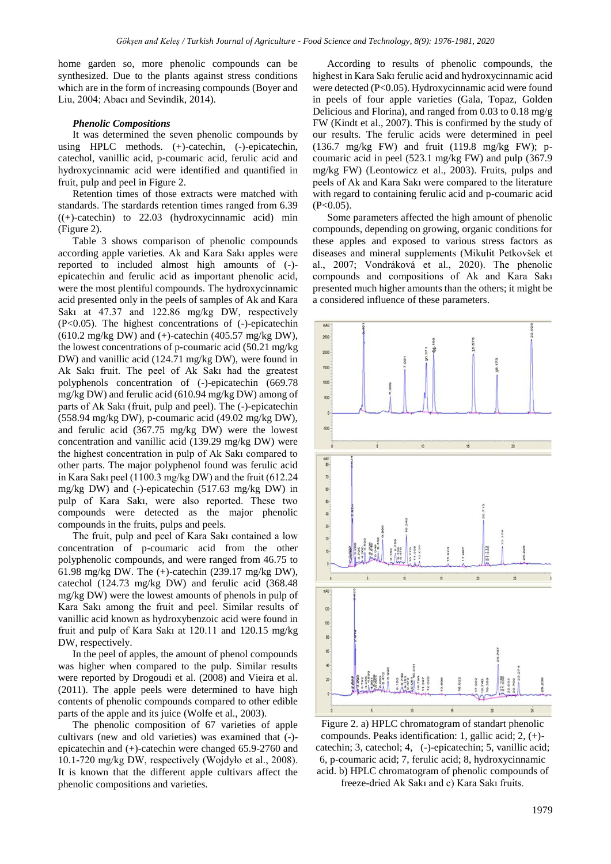home garden so, more phenolic compounds can be synthesized. Due to the plants against stress conditions which are in the form of increasing compounds (Boyer and Liu, 2004; Abacı and Sevindik, 2014).

### *Phenolic Compositions*

It was determined the seven phenolic compounds by using HPLC methods. (+)-catechin, (-)-epicatechin, catechol, vanillic acid, p-coumaric acid, ferulic acid and hydroxycinnamic acid were identified and quantified in fruit, pulp and peel in Figure 2.

Retention times of those extracts were matched with standards. The stardards retention times ranged from 6.39  $((+)$ -catechin) to 22.03 (hydroxycinnamic acid) min (Figure 2).

Table 3 shows comparison of phenolic compounds according apple varieties. Ak and Kara Sakı apples were reported to included almost high amounts of (-) epicatechin and ferulic acid as important phenolic acid, were the most plentiful compounds. The hydroxycinnamic acid presented only in the peels of samples of Ak and Kara Sakı at 47.37 and 122.86 mg/kg DW, respectively (P<0.05). The highest concentrations of (-)-epicatechin  $(610.2 \text{ mg/kg DW})$  and  $(+)$ -catechin  $(405.57 \text{ mg/kg DW})$ , the lowest concentrations of p-coumaric acid (50.21 mg/kg DW) and vanillic acid (124.71 mg/kg DW), were found in Ak Sakı fruit. The peel of Ak Sakı had the greatest polyphenols concentration of (-)-epicatechin (669.78 mg/kg DW) and ferulic acid (610.94 mg/kg DW) among of parts of Ak Sakı (fruit, pulp and peel). The (-)-epicatechin (558.94 mg/kg DW), p-coumaric acid (49.02 mg/kg DW), and ferulic acid (367.75 mg/kg DW) were the lowest concentration and vanillic acid (139.29 mg/kg DW) were the highest concentration in pulp of Ak Sakı compared to other parts. The major polyphenol found was ferulic acid in Kara Sakı peel (1100.3 mg/kg DW) and the fruit (612.24 mg/kg DW) and (-)-epicatechin (517.63 mg/kg DW) in pulp of Kara Sakı, were also reported. These two compounds were detected as the major phenolic compounds in the fruits, pulps and peels.

The fruit, pulp and peel of Kara Sakı contained a low concentration of p-coumaric acid from the other polyphenolic compounds, and were ranged from 46.75 to 61.98 mg/kg DW. The (+)-catechin (239.17 mg/kg DW), catechol (124.73 mg/kg DW) and ferulic acid (368.48 mg/kg DW) were the lowest amounts of phenols in pulp of Kara Sakı among the fruit and peel. Similar results of vanillic acid known as hydroxybenzoic acid were found in fruit and pulp of Kara Sakı at 120.11 and 120.15 mg/kg DW, respectively.

In the peel of apples, the amount of phenol compounds was higher when compared to the pulp. Similar results were reported by Drogoudi et al. (2008) and Vieira et al. (2011). The apple peels were determined to have high contents of phenolic compounds compared to other edible parts of the apple and its juice (Wolfe et al., 2003).

The phenolic composition of 67 varieties of apple cultivars (new and old varieties) was examined that (-) epicatechin and (+)-catechin were changed 65.9-2760 and 10.1-720 mg/kg DW, respectively (Wojdyło et al., 2008). It is known that the different apple cultivars affect the phenolic compositions and varieties.

According to results of phenolic compounds, the highest in Kara Sakı ferulic acid and hydroxycinnamic acid were detected (P<0.05). Hydroxycinnamic acid were found in peels of four apple varieties (Gala, Topaz, Golden Delicious and Florina), and ranged from 0.03 to 0.18 mg/g FW (Kindt et al., 2007). This is confirmed by the study of our results. The ferulic acids were determined in peel (136.7 mg/kg FW) and fruit (119.8 mg/kg FW); pcoumaric acid in peel (523.1 mg/kg FW) and pulp (367.9 mg/kg FW) (Leontowicz et al., 2003). Fruits, pulps and peels of Ak and Kara Sakı were compared to the literature with regard to containing ferulic acid and p-coumaric acid  $(P<0.05)$ .

Some parameters affected the high amount of phenolic compounds, depending on growing, organic conditions for these apples and exposed to various stress factors as diseases and mineral supplements (Mikulit Petkovšek et al., 2007; Vondráková et al., 2020). The phenolic compounds and compositions of Ak and Kara Sakı presented much higher amounts than the others; it might be a considered influence of these parameters.



Figure 2. a) HPLC chromatogram of standart phenolic compounds. Peaks identification: 1, gallic acid; 2, (+) catechin; 3, catechol; 4, (-)-epicatechin; 5, vanillic acid; 6, p-coumaric acid; 7, ferulic acid; 8, hydroxycinnamic acid. b) HPLC chromatogram of phenolic compounds of freeze-dried Ak Sakı and c) Kara Sakı fruits.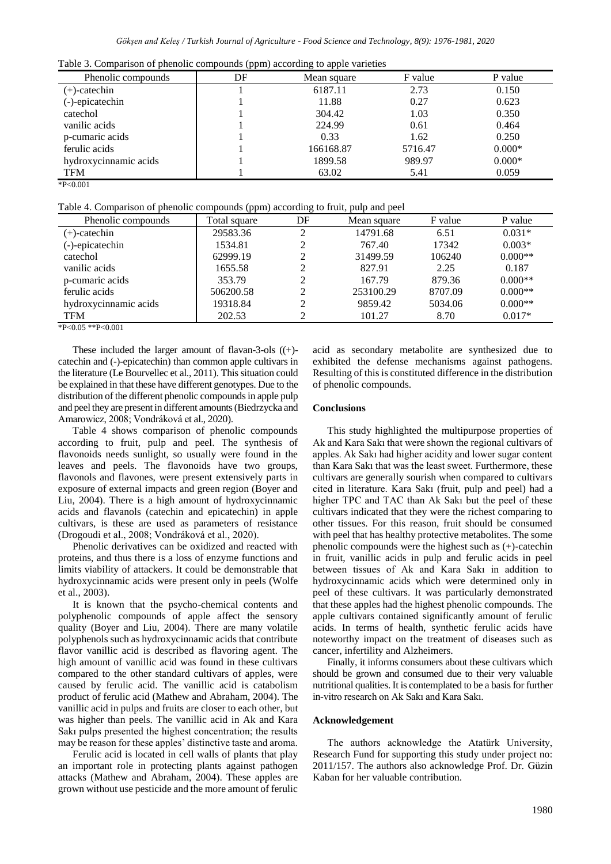|  |  | Table 3. Comparison of phenolic compounds (ppm) according to apple varieties |
|--|--|------------------------------------------------------------------------------|
|  |  |                                                                              |

| Phenolic compounds    | DF | Mean square | F value | P value  |
|-----------------------|----|-------------|---------|----------|
| (+)-catechin          |    | 6187.11     | 2.73    | 0.150    |
| (-)-epicatechin       |    | 11.88       | 0.27    | 0.623    |
| catechol              |    | 304.42      | 1.03    | 0.350    |
| vanilic acids         |    | 224.99      | 0.61    | 0.464    |
| p-cumaric acids       |    | 0.33        | 1.62    | 0.250    |
| ferulic acids         |    | 166168.87   | 5716.47 | $0.000*$ |
| hydroxycinnamic acids |    | 1899.58     | 989.97  | $0.000*$ |
| <b>TFM</b>            |    | 63.02       | 5.41    | 0.059    |

<sup>\*</sup>P<0.001

Table 4. Comparison of phenolic compounds (ppm) according to fruit, pulp and peel

| Phenolic compounds    | Total square | DF | Mean square | F value | P value   |
|-----------------------|--------------|----|-------------|---------|-----------|
| (+)-catechin          | 29583.36     | ↑  | 14791.68    | 6.51    | $0.031*$  |
| (-)-epicatechin       | 1534.81      |    | 767.40      | 17342   | $0.003*$  |
| catechol              | 62999.19     |    | 31499.59    | 106240  | $0.000**$ |
| vanilic acids         | 1655.58      |    | 827.91      | 2.25    | 0.187     |
| p-cumaric acids       | 353.79       |    | 167.79      | 879.36  | $0.000**$ |
| ferulic acids         | 506200.58    |    | 253100.29   | 8707.09 | $0.000**$ |
| hydroxycinnamic acids | 19318.84     |    | 9859.42     | 5034.06 | $0.000**$ |
| <b>TFM</b>            | 202.53       |    | 101.27      | 8.70    | $0.017*$  |

 $*P<0.05 **P<0.001$ 

These included the larger amount of flavan-3-ols ((+) catechin and (-)-epicatechin) than common apple cultivars in the literature (Le Bourvellec et al., 2011). This situation could be explained in that these have different genotypes. Due to the distribution of the different phenolic compounds in apple pulp and peel they are present in different amounts (Biedrzycka and Amarowicz, 2008; Vondráková et al., 2020).

Table 4 shows comparison of phenolic compounds according to fruit, pulp and peel. The synthesis of flavonoids needs sunlight, so usually were found in the leaves and peels. The flavonoids have two groups, flavonols and flavones, were present extensively parts in exposure of external impacts and green region (Boyer and Liu, 2004). There is a high amount of hydroxycinnamic acids and flavanols (catechin and epicatechin) in apple cultivars, is these are used as parameters of resistance (Drogoudi et al., 2008; Vondráková et al., 2020).

Phenolic derivatives can be oxidized and reacted with proteins, and thus there is a loss of enzyme functions and limits viability of attackers. It could be demonstrable that hydroxycinnamic acids were present only in peels (Wolfe et al., 2003).

It is known that the psycho-chemical contents and polyphenolic compounds of apple affect the sensory quality (Boyer and Liu, 2004). There are many volatile polyphenols such as hydroxycinnamic acids that contribute flavor vanillic acid is described as flavoring agent. The high amount of vanillic acid was found in these cultivars compared to the other standard cultivars of apples, were caused by ferulic acid. The vanillic acid is catabolism product of ferulic acid (Mathew and Abraham, 2004). The vanillic acid in pulps and fruits are closer to each other, but was higher than peels. The vanillic acid in Ak and Kara Sakı pulps presented the highest concentration; the results may be reason for these apples' distinctive taste and aroma.

Ferulic acid is located in cell walls of plants that play an important role in protecting plants against pathogen attacks (Mathew and Abraham, 2004). These apples are grown without use pesticide and the more amount of ferulic acid as secondary metabolite are synthesized due to exhibited the defense mechanisms against pathogens. Resulting of this is constituted difference in the distribution of phenolic compounds.

## **Conclusions**

This study highlighted the multipurpose properties of Ak and Kara Sakı that were shown the regional cultivars of apples. Ak Sakı had higher acidity and lower sugar content than Kara Sakı that was the least sweet. Furthermore, these cultivars are generally sourish when compared to cultivars cited in literature. Kara Sakı (fruit, pulp and peel) had a higher TPC and TAC than Ak Sakı but the peel of these cultivars indicated that they were the richest comparing to other tissues. For this reason, fruit should be consumed with peel that has healthy protective metabolites. The some phenolic compounds were the highest such as (+)-catechin in fruit, vanillic acids in pulp and ferulic acids in peel between tissues of Ak and Kara Sakı in addition to hydroxycinnamic acids which were determined only in peel of these cultivars. It was particularly demonstrated that these apples had the highest phenolic compounds. The apple cultivars contained significantly amount of ferulic acids. In terms of health, synthetic ferulic acids have noteworthy impact on the treatment of diseases such as cancer, infertility and Alzheimers.

Finally, it informs consumers about these cultivars which should be grown and consumed due to their very valuable nutritional qualities. It is contemplated to be a basis for further in-vitro research on Ak Sakı and Kara Sakı.

## **Acknowledgement**

The authors acknowledge the Atatürk University, Research Fund for supporting this study under project no: 2011/157. The authors also acknowledge Prof. Dr. Güzin Kaban for her valuable contribution.